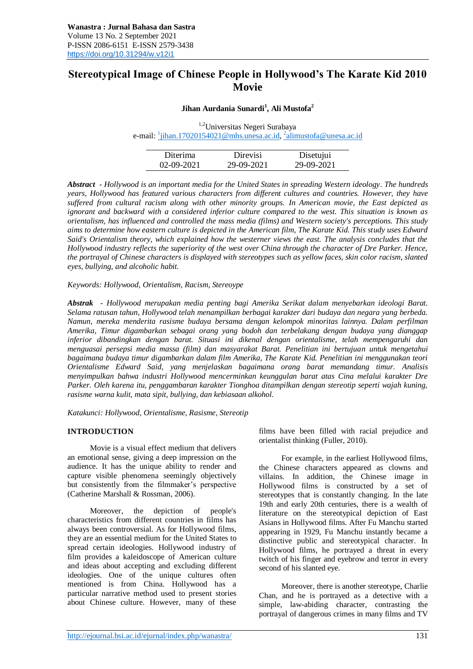# **Stereotypical Image of Chinese People in Hollywood's The Karate Kid 2010 Movie**

# **Jihan Aurdania Sunardi<sup>1</sup> , Ali Mustofa<sup>2</sup>**

1,2Universitas Negeri Surabaya e-mail: <u><sup>1</sup>[jihan.17020154021@mhs.unesa.ac.id,](mailto:1jihan.17020154021@mhs.unesa.ac.id) <sup>2</sup>[alimustofa@unesa.ac.id](mailto:2alimustofa@unesa.ac.id)</u>

| Diterima         | Direvisi   | Disetujui  |
|------------------|------------|------------|
| $02 - 09 - 2021$ | 29-09-2021 | 29-09-2021 |

*Abstract - Hollywood is an important media for the United States in spreading Western ideology*. *The hundreds years, Hollywood has featured various characters from different cultures and countries. However, they have suffered from cultural racism along with other minority groups. In American movie, the East depicted as ignorant and backward with a considered inferior culture compared to the west. This situation is known as orientalism, has influenced and controlled the mass media (films) and Western society's perceptions. This study aims to determine how eastern culture is depicted in the American film, The Karate Kid. This study uses Edward Said's Orientalism theory, which explained how the westerner views the east. The analysis concludes that the Hollywood industry reflects the superiority of the west over China through the character of Dre Parker. Hence, the portrayal of Chinese characters is displayed with stereotypes such as yellow faces, skin color racism, slanted eyes, bullying, and alcoholic habit.*

*Keywords: Hollywood, Orientalism, Racism, Stereoype*

*Abstrak - Hollywood merupakan media penting bagi Amerika Serikat dalam menyebarkan ideologi Barat. Selama ratusan tahun, Hollywood telah menampilkan berbagai karakter dari budaya dan negara yang berbeda. Namun, mereka menderita rasisme budaya bersama dengan kelompok minoritas lainnya. Dalam perfilman Amerika, Timur digambarkan sebagai orang yang bodoh dan terbelakang dengan budaya yang dianggap inferior dibandingkan dengan barat. Situasi ini dikenal dengan orientalisme, telah mempengaruhi dan menguasai persepsi media massa (film) dan masyarakat Barat. Penelitian ini bertujuan untuk mengetahui bagaimana budaya timur digambarkan dalam film Amerika, The Karate Kid. Penelitian ini menggunakan teori Orientalisme Edward Said, yang menjelaskan bagaimana orang barat memandang timur. Analisis menyimpulkan bahwa industri Hollywood mencerminkan keunggulan barat atas Cina melalui karakter Dre Parker. Oleh karena itu, penggambaran karakter Tionghoa ditampilkan dengan stereotip seperti wajah kuning, rasisme warna kulit, mata sipit, bullying, dan kebiasaan alkohol.*

*Katakunci: Hollywood, Orientalisme, Rasisme, Stereotip*

# **INTRODUCTION**

Movie is a visual effect medium that delivers an emotional sense, giving a deep impression on the audience. It has the unique ability to render and capture visible phenomena seemingly objectively but consistently from the filmmaker's perspective (Catherine Marshall & Rossman, 2006).

Moreover, the depiction of people's characteristics from different countries in films has always been controversial. As for Hollywood films, they are an essential medium for the United States to spread certain ideologies. Hollywood industry of film provides a kaleidoscope of American culture and ideas about accepting and excluding different ideologies. One of the unique cultures often mentioned is from China. Hollywood has a particular narrative method used to present stories about Chinese culture. However, many of these

films have been filled with racial prejudice and orientalist thinking (Fuller, 2010).

For example, in the earliest Hollywood films, the Chinese characters appeared as clowns and villains. In addition, the Chinese image in Hollywood films is constructed by a set of stereotypes that is constantly changing. In the late 19th and early 20th centuries, there is a wealth of literature on the stereotypical depiction of East Asians in Hollywood films. After Fu Manchu started appearing in 1929, Fu Manchu instantly became a distinctive public and stereotypical character. In Hollywood films, he portrayed a threat in every twitch of his finger and eyebrow and terror in every second of his slanted eye.

Moreover, there is another stereotype, Charlie Chan, and he is portrayed as a detective with a simple, law-abiding character, contrasting the portrayal of dangerous crimes in many films and TV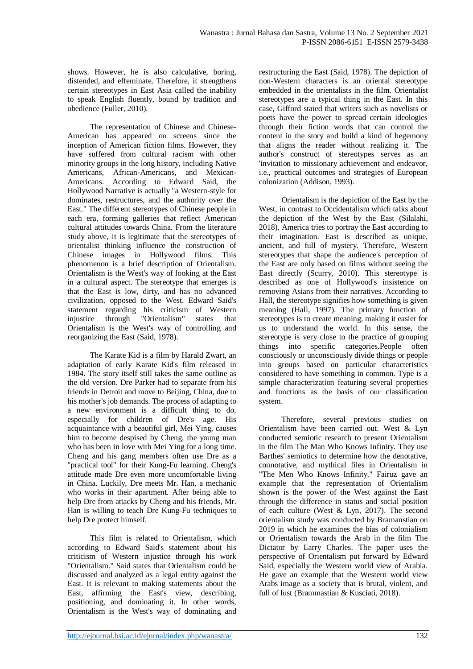shows. However, he is also calculative, boring, distended, and effeminate. Therefore, it strengthens certain stereotypes in East Asia called the inability to speak English fluently, bound by tradition and obedience (Fuller, 2010).

The representation of Chinese and Chinese-American has appeared on screens since the inception of American fiction films. However, they have suffered from cultural racism with other minority groups in the long history, including Native Americans, African-Americans, and Mexican-Americans. According to Edward Said, the Hollywood Narrative is actually "a Western-style for dominates, restructures, and the authority over the East." The different stereotypes of Chinese people in each era, forming galleries that reflect American cultural attitudes towards China. From the literature study above, it is legitimate that the stereotypes of orientalist thinking influence the construction of Chinese images in Hollywood films. This phenomenon is a brief description of Orientalism. Orientalism is the West's way of looking at the East in a cultural aspect. The stereotype that emerges is that the East is low, dirty, and has no advanced civilization, opposed to the West. Edward Said's statement regarding his criticism of Western injustice through "Orientalism" states that Orientalism is the West's way of controlling and reorganizing the East (Said, 1978).

The Karate Kid is a film by Harald Zwart, an adaptation of early Karate Kid's film released in 1984. The story itself still takes the same outline as the old version. Dre Parker had to separate from his friends in Detroit and move to Beijing, China, due to his mother's job demands. The process of adapting to a new environment is a difficult thing to do, especially for children of Dre's age. His acquaintance with a beautiful girl, Mei Ying, causes him to become despised by Cheng, the young man who has been in love with Mei Ying for a long time. Cheng and his gang members often use Dre as a "practical tool" for their Kung-Fu learning. Cheng's attitude made Dre even more uncomfortable living in China. Luckily, Dre meets Mr. Han, a mechanic who works in their apartment. After being able to help Dre from attacks by Cheng and his friends, Mr. Han is willing to teach Dre Kung-Fu techniques to help Dre protect himself.

This film is related to Orientalism, which according to Edward Said's statement about his criticism of Western injustice through his work "Orientalism." Said states that Orientalism could be discussed and analyzed as a legal entity against the East. It is relevant to making statements about the East, affirming the East's view, describing, positioning, and dominating it. In other words, Orientalism is the West's way of dominating and restructuring the East (Said, 1978). The depiction of non-Western characters is an oriental stereotype embedded in the orientalists in the film. Orientalist stereotypes are a typical thing in the East. In this case, Gifford stated that writers such as novelists or poets have the power to spread certain ideologies through their fiction words that can control the content in the story and build a kind of hegemony that aligns the reader without realizing it. The author's construct of stereotypes serves as an 'invitation to missionary achievement and endeavor, i.e., practical outcomes and strategies of European colonization (Addison, 1993).

Orientalism is the depiction of the East by the West, in contrast to Occidentalism which talks about the depiction of the West by the East (Silalahi, 2018). America tries to portray the East according to their imagination. East is described as unique, ancient, and full of mystery. Therefore, Western stereotypes that shape the audience's perception of the East are only based on films without seeing the East directly (Scurry, 2010). This stereotype is described as one of Hollywood's insistence on removing Asians from their narratives. According to Hall, the stereotype signifies how something is given meaning (Hall, 1997). The primary function of stereotypes is to create meaning, making it easier for us to understand the world. In this sense, the stereotype is very close to the practice of grouping things into specific categories.People often consciously or unconsciously divide things or people into groups based on particular characteristics considered to have something in common. Type is a simple characterization featuring several properties and functions as the basis of our classification system.

Therefore, several previous studies on Orientalism have been carried out. West & Lyn conducted semiotic research to present Orientalism in the film The Man Who Knows Infinity. They use Barthes' semiotics to determine how the denotative, connotative, and mythical files in Orientalism in "The Men Who Knows Infinity." Fairuz gave an example that the representation of Orientalism shown is the power of the West against the East through the difference in status and social position of each culture (West & Lyn, 2017). The second orientalism study was conducted by Bramanstian on 2019 in which he examines the bias of colonialism or Orientalism towards the Arab in the film The Dictator by Larry Charles. The paper uses the perspective of Orientalism put forward by Edward Said, especially the Western world view of Arabia. He gave an example that the Western world view Arabs image as a society that is brutal, violent, and full of lust (Brammastian & Kusciati, 2018).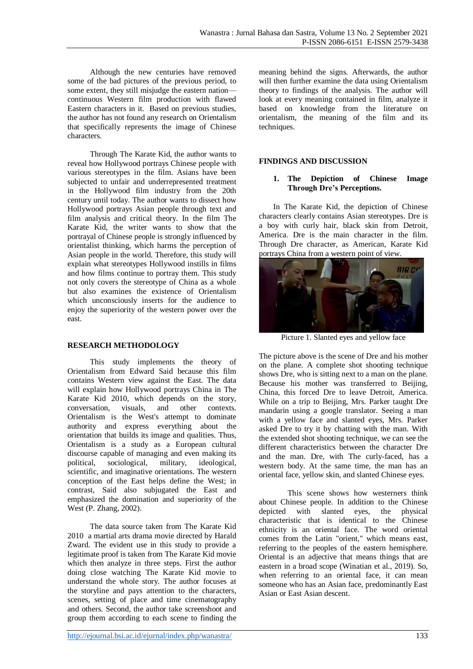Although the new centuries have removed some of the bad pictures of the previous period, to some extent, they still misjudge the eastern nation continuous Western film production with flawed Eastern characters in it. Based on previous studies, the author has not found any research on Orientalism that specifically represents the image of Chinese characters.

Through The Karate Kid, the author wants to reveal how Hollywood portrays Chinese people with various stereotypes in the film. Asians have been subjected to unfair and underrepresented treatment in the Hollywood film industry from the 20th century until today. The author wants to dissect how Hollywood portrays Asian people through text and film analysis and critical theory. In the film The Karate Kid, the writer wants to show that the portrayal of Chinese people is strongly influenced by orientalist thinking, which harms the perception of Asian people in the world. Therefore, this study will explain what stereotypes Hollywood instills in films and how films continue to portray them. This study not only covers the stereotype of China as a whole but also examines the existence of Orientalism which unconsciously inserts for the audience to enjoy the superiority of the western power over the east.

# **RESEARCH METHODOLOGY**

This study implements the theory of Orientalism from Edward Said because this film contains Western view against the East. The data will explain how Hollywood portrays China in The Karate Kid 2010, which depends on the story, conversation, visuals, and other contexts. Orientalism is the West's attempt to dominate authority and express everything about the orientation that builds its image and qualities. Thus, Orientalism is a study as a European cultural discourse capable of managing and even making its political, sociological, military, ideological, scientific, and imaginative orientations. The western conception of the East helps define the West; in contrast, Said also subjugated the East and emphasized the domination and superiority of the West (P. Zhang, 2002).

The data source taken from The Karate Kid 2010 a martial arts drama movie directed by Harald Zward. The evident use in this study to provide a legitimate proof is taken from The Karate Kid movie which then analyze in three steps. First the author doing close watching The Karate Kid movie to understand the whole story. The author focuses at the storyline and pays attention to the characters, scenes, setting of place and time cinematography and others. Second, the author take screenshoot and group them according to each scene to finding the meaning behind the signs. Afterwards, the author will then further examine the data using Orientalism theory to findings of the analysis. The author will look at every meaning contained in film, analyze it based on knowledge from the literature on orientalism, the meaning of the film and its techniques.

## **FINDINGS AND DISCUSSION**

#### **1. The Depiction of Chinese Image Through Dre's Perceptions.**

In The Karate Kid, the depiction of Chinese characters clearly contains Asian stereotypes. Dre is a boy with curly hair, black skin from Detroit, America. Dre is the main character in the film. Through Dre character, as American, Karate Kid portrays China from a western point of view.



Picture 1. Slanted eyes and yellow face

The picture above is the scene of Dre and his mother on the plane. A complete shot shooting technique shows Dre, who is sitting next to a man on the plane. Because his mother was transferred to Beijing, China, this forced Dre to leave Detroit, America. While on a trip to Beijing, Mrs. Parker taught Dre mandarin using a google translator. Seeing a man with a yellow face and slanted eyes, Mrs. Parker asked Dre to try it by chatting with the man. With the extended shot shooting technique, we can see the different characteristics between the character Dre and the man. Dre, with The curly-faced, has a western body. At the same time, the man has an oriental face, yellow skin, and slanted Chinese eyes.

This scene shows how westerners think about Chinese people. In addition to the Chinese depicted with slanted eyes, the physical characteristic that is identical to the Chinese ethnicity is an oriental face. The word oriental comes from the Latin "orient," which means east, referring to the peoples of the eastern hemisphere. Oriental is an adjective that means things that are eastern in a broad scope (Winatian et al., 2019). So, when referring to an oriental face, it can mean someone who has an Asian face, predominantly East Asian or East Asian descent.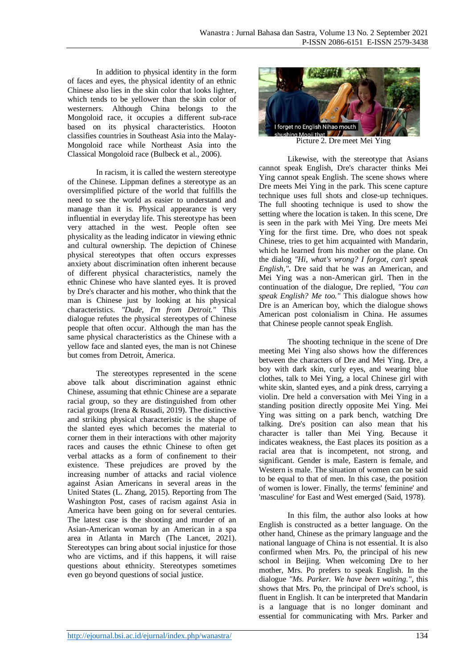In addition to physical identity in the form of faces and eyes, the physical identity of an ethnic Chinese also lies in the skin color that looks lighter, which tends to be yellower than the skin color of westerners. Although China belongs to the Mongoloid race, it occupies a different sub-race based on its physical characteristics. Hooton classifies countries in Southeast Asia into the Malay-Mongoloid race while Northeast Asia into the Classical Mongoloid race (Bulbeck et al., 2006).

In racism, it is called the western stereotype of the Chinese. Lippman defines a stereotype as an oversimplified picture of the world that fulfills the need to see the world as easier to understand and manage than it is. Physical appearance is very influential in everyday life. This stereotype has been very attached in the west. People often see physicality as the leading indicator in viewing ethnic and cultural ownership. The depiction of Chinese physical stereotypes that often occurs expresses anxiety about discrimination often inherent because of different physical characteristics, namely the ethnic Chinese who have slanted eyes. It is proved by Dre's character and his mother, who think that the man is Chinese just by looking at his physical characteristics. *"Dude, I'm from Detroit."* This dialogue refutes the physical stereotypes of Chinese people that often occur. Although the man has the same physical characteristics as the Chinese with a yellow face and slanted eyes, the man is not Chinese but comes from Detroit, America.

The stereotypes represented in the scene above talk about discrimination against ethnic Chinese, assuming that ethnic Chinese are a separate racial group, so they are distinguished from other racial groups (Irena & Rusadi, 2019). The distinctive and striking physical characteristic is the shape of the slanted eyes which becomes the material to corner them in their interactions with other majority races and causes the ethnic Chinese to often get verbal attacks as a form of confinement to their existence. These prejudices are proved by the increasing number of attacks and racial violence against Asian Americans in several areas in the United States (L. Zhang, 2015). Reporting from The Washington Post, cases of racism against Asia in America have been going on for several centuries. The latest case is the shooting and murder of an Asian-American woman by an American in a spa area in Atlanta in March (The Lancet, 2021). Stereotypes can bring about social injustice for those who are victims, and if this happens, it will raise questions about ethnicity. Stereotypes sometimes even go beyond questions of social justice.



Likewise, with the stereotype that Asians cannot speak English, Dre's character thinks Mei Ying cannot speak English. The scene shows where Dre meets Mei Ying in the park. This scene capture technique uses full shots and close-up techniques. The full shooting technique is used to show the setting where the location is taken. In this scene, Dre is seen in the park with Mei Ying. Dre meets Mei Ying for the first time. Dre, who does not speak Chinese, tries to get him acquainted with Mandarin, which he learned from his mother on the plane. On the dialog *"Hi, what's wrong? I forgot, can't speak English,"***.** Dre said that he was an American, and Mei Ying was a non-American girl. Then in the continuation of the dialogue, Dre replied, *"You can speak English? Me too."* This dialogue shows how Dre is an American boy, which the dialogue shows American post colonialism in China. He assumes that Chinese people cannot speak English.

The shooting technique in the scene of Dre meeting Mei Ying also shows how the differences between the characters of Dre and Mei Ying. Dre, a boy with dark skin, curly eyes, and wearing blue clothes, talk to Mei Ying, a local Chinese girl with white skin, slanted eyes, and a pink dress, carrying a violin. Dre held a conversation with Mei Ying in a standing position directly opposite Mei Ying. Mei Ying was sitting on a park bench, watching Dre talking. Dre's position can also mean that his character is taller than Mei Ying. Because it indicates weakness, the East places its position as a racial area that is incompetent, not strong, and significant. Gender is male, Eastern is female, and Western is male. The situation of women can be said to be equal to that of men. In this case, the position of women is lower. Finally, the terms' feminine' and 'masculine' for East and West emerged (Said, 1978).

In this film, the author also looks at how English is constructed as a better language. On the other hand, Chinese as the primary language and the national language of China is not essential. It is also confirmed when Mrs. Po, the principal of his new school in Beijing. When welcoming Dre to her mother, Mrs. Po prefers to speak English. In the dialogue *"Ms. Parker. We have been waiting."*, this shows that Mrs. Po, the principal of Dre's school, is fluent in English. It can be interpreted that Mandarin is a language that is no longer dominant and essential for communicating with Mrs. Parker and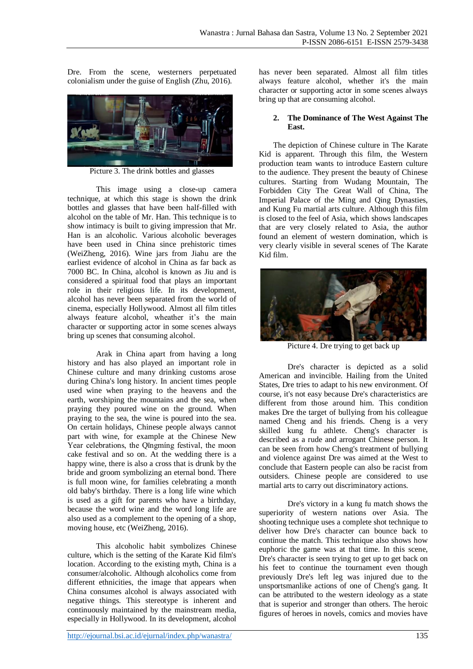Dre. From the scene, westerners perpetuated colonialism under the guise of English (Zhu, 2016).



Picture 3. The drink bottles and glasses

This image using a close-up camera technique, at which this stage is shown the drink bottles and glasses that have been half-filled with alcohol on the table of Mr. Han. This technique is to show intimacy is built to giving impression that Mr. Han is an alcoholic. Various alcoholic beverages have been used in China since prehistoric times (WeiZheng, 2016). Wine jars from Jiahu are the earliest evidence of alcohol in China as far back as 7000 BC. In China, alcohol is known as Jiu and is considered a spiritual food that plays an important role in their religious life. In its development, alcohol has never been separated from the world of cinema, especially Hollywood. Almost all film titles always feature alcohol, wheather it's the main character or supporting actor in some scenes always bring up scenes that consuming alcohol.

Arak in China apart from having a long history and has also played an important role in Chinese culture and many drinking customs arose during China's long history. In ancient times people used wine when praying to the heavens and the earth, worshiping the mountains and the sea, when praying they poured wine on the ground. When praying to the sea, the wine is poured into the sea. On certain holidays, Chinese people always cannot part with wine, for example at the Chinese New Year celebrations, the Qīngmíng festival, the moon cake festival and so on. At the wedding there is a happy wine, there is also a cross that is drunk by the bride and groom symbolizing an eternal bond. There is full moon wine, for families celebrating a month old baby's birthday. There is a long life wine which is used as a gift for parents who have a birthday, because the word wine and the word long life are also used as a complement to the opening of a shop, moving house, etc (WeiZheng, 2016).

This alcoholic habit symbolizes Chinese culture, which is the setting of the Karate Kid film's location. According to the existing myth, China is a consumer/alcoholic. Although alcoholics come from different ethnicities, the image that appears when China consumes alcohol is always associated with negative things. This stereotype is inherent and continuously maintained by the mainstream media, especially in Hollywood. In its development, alcohol

has never been separated. Almost all film titles always feature alcohol, whether it's the main character or supporting actor in some scenes always bring up that are consuming alcohol.

#### **2. The Dominance of The West Against The East.**

The depiction of Chinese culture in The Karate Kid is apparent. Through this film, the Western production team wants to introduce Eastern culture to the audience. They present the beauty of Chinese cultures. Starting from Wudang Mountain, The Forbidden City The Great Wall of China, The Imperial Palace of the Ming and Qing Dynasties, and Kung Fu martial arts culture. Although this film is closed to the feel of Asia, which shows landscapes that are very closely related to Asia, the author found an element of western domination, which is very clearly visible in several scenes of The Karate Kid film.



Picture 4. Dre trying to get back up

Dre's character is depicted as a solid American and invincible. Hailing from the United States, Dre tries to adapt to his new environment. Of course, it's not easy because Dre's characteristics are different from those around him. This condition makes Dre the target of bullying from his colleague named Cheng and his friends. Cheng is a very skilled kung fu athlete. Cheng's character is described as a rude and arrogant Chinese person. It can be seen from how Cheng's treatment of bullying and violence against Dre was aimed at the West to conclude that Eastern people can also be racist from outsiders. Chinese people are considered to use martial arts to carry out discriminatory actions.

Dre's victory in a kung fu match shows the superiority of western nations over Asia. The shooting technique uses a complete shot technique to deliver how Dre's character can bounce back to continue the match. This technique also shows how euphoric the game was at that time. In this scene, Dre's character is seen trying to get up to get back on his feet to continue the tournament even though previously Dre's left leg was injured due to the unsportsmanlike actions of one of Cheng's gang. It can be attributed to the western ideology as a state that is superior and stronger than others. The heroic figures of heroes in novels, comics and movies have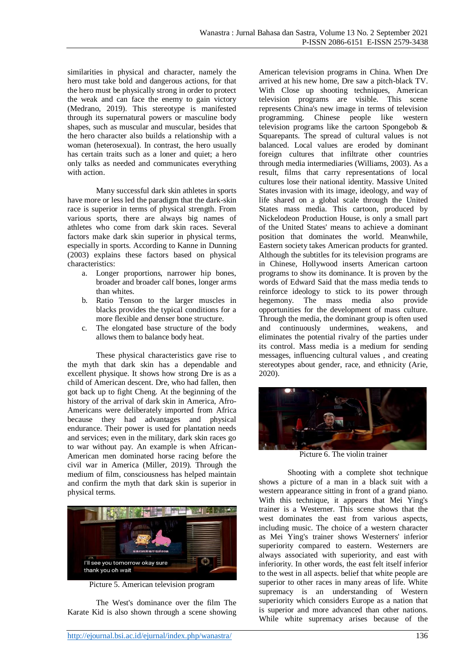similarities in physical and character, namely the hero must take bold and dangerous actions, for that the hero must be physically strong in order to protect the weak and can face the enemy to gain victory (Medrano, 2019). This stereotype is manifested through its supernatural powers or masculine body shapes, such as muscular and muscular, besides that the hero character also builds a relationship with a woman (heterosexual). In contrast, the hero usually has certain traits such as a loner and quiet; a hero only talks as needed and communicates everything with action.

Many successful dark skin athletes in sports have more or less led the paradigm that the dark-skin race is superior in terms of physical strength. From various sports, there are always big names of athletes who come from dark skin races. Several factors make dark skin superior in physical terms, especially in sports. According to Kanne in Dunning (2003) explains these factors based on physical characteristics:

- a. Longer proportions, narrower hip bones, broader and broader calf bones, longer arms than whites.
- b. Ratio Tenson to the larger muscles in blacks provides the typical conditions for a more flexible and denser bone structure.
- c. The elongated base structure of the body allows them to balance body heat.

These physical characteristics gave rise to the myth that dark skin has a dependable and excellent physique. It shows how strong Dre is as a child of American descent. Dre, who had fallen, then got back up to fight Cheng. At the beginning of the history of the arrival of dark skin in America, Afro-Americans were deliberately imported from Africa because they had advantages and physical endurance. Their power is used for plantation needs and services; even in the military, dark skin races go to war without pay. An example is when African-American men dominated horse racing before the civil war in America (Miller, 2019). Through the medium of film, consciousness has helped maintain and confirm the myth that dark skin is superior in physical terms.



Picture 5. American television program

The West's dominance over the film The Karate Kid is also shown through a scene showing American television programs in China. When Dre arrived at his new home, Dre saw a pitch-black TV. With Close up shooting techniques, American television programs are visible. This scene represents China's new image in terms of television programming. Chinese people like western television programs like the cartoon Spongebob & Squarepants. The spread of cultural values is not balanced. Local values are eroded by dominant foreign cultures that infiltrate other countries through media intermediaries (Williams, 2003). As a result, films that carry representations of local cultures lose their national identity. Massive United States invasion with its image, ideology, and way of life shared on a global scale through the United States mass media. This cartoon, produced by Nickelodeon Production House, is only a small part of the United States' means to achieve a dominant position that dominates the world. Meanwhile, Eastern society takes American products for granted. Although the subtitles for its television programs are in Chinese, Hollywood inserts American cartoon programs to show its dominance. It is proven by the words of Edward Said that the mass media tends to reinforce ideology to stick to its power through hegemony. The mass media also provide opportunities for the development of mass culture. Through the media, the dominant group is often used and continuously undermines, weakens, and eliminates the potential rivalry of the parties under its control. Mass media is a medium for sending messages, influencing cultural values , and creating stereotypes about gender, race, and ethnicity (Arie, 2020).



Picture 6. The violin trainer

Shooting with a complete shot technique shows a picture of a man in a black suit with a western appearance sitting in front of a grand piano. With this technique, it appears that Mei Ying's trainer is a Westerner. This scene shows that the west dominates the east from various aspects, including music. The choice of a western character as Mei Ying's trainer shows Westerners' inferior superiority compared to eastern. Westerners are always associated with superiority, and east with inferiority. In other words, the east felt itself inferior to the west in all aspects. belief that white people are superior to other races in many areas of life. White supremacy is an understanding of Western superiority which considers Europe as a nation that is superior and more advanced than other nations. While white supremacy arises because of the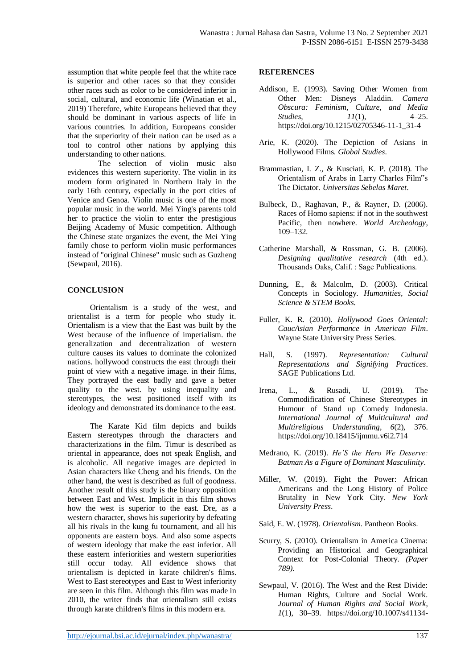assumption that white people feel that the white race is superior and other races so that they consider other races such as color to be considered inferior in social, cultural, and economic life (Winatian et al., 2019) Therefore, white Europeans believed that they should be dominant in various aspects of life in various countries. In addition, Europeans consider that the superiority of their nation can be used as a tool to control other nations by applying this understanding to other nations.

The selection of violin music also evidences this western superiority. The violin in its modern form originated in Northern Italy in the early 16th century, especially in the port cities of Venice and Genoa. Violin music is one of the most popular music in the world. Mei Ying's parents told her to practice the violin to enter the prestigious Beijing Academy of Music competition. Although the Chinese state organizes the event, the Mei Ying family chose to perform violin music performances instead of "original Chinese" music such as Guzheng (Sewpaul, 2016).

# **CONCLUSION**

Orientalism is a study of the west, and orientalist is a term for people who study it. Orientalism is a view that the East was built by the West because of the influence of imperialism. the generalization and decentralization of western culture causes its values to dominate the colonized nations. hollywood constructs the east through their point of view with a negative image. in their films, They portrayed the east badly and gave a better quality to the west. by using inequality and stereotypes, the west positioned itself with its ideology and demonstrated its dominance to the east.

The Karate Kid film depicts and builds Eastern stereotypes through the characters and characterizations in the film. Timur is described as oriental in appearance, does not speak English, and is alcoholic. All negative images are depicted in Asian characters like Cheng and his friends. On the other hand, the west is described as full of goodness. Another result of this study is the binary opposition between East and West. Implicit in this film shows how the west is superior to the east. Dre, as a western character, shows his superiority by defeating all his rivals in the kung fu tournament, and all his opponents are eastern boys. And also some aspects of western ideology that make the east inferior. All these eastern inferiorities and western superiorities still occur today. All evidence shows that orientalism is depicted in karate children's films. West to East stereotypes and East to West inferiority are seen in this film. Although this film was made in 2010, the writer finds that orientalism still exists through karate children's films in this modern era.

### **REFERENCES**

- Addison, E. (1993). Saving Other Women from Other Men: Disneys Aladdin. *Camera Obscura: Feminism, Culture, and Media Studies*, *11*(1), 4–25. https://doi.org/10.1215/02705346-11-1\_31-4
- Arie, K. (2020). The Depiction of Asians in Hollywood Films. *Global Studies*.
- Brammastian, I. Z., & Kusciati, K. P. (2018). The Orientalism of Arabs in Larry Charles Film"s The Dictator. *Universitas Sebelas Maret*.
- Bulbeck, D., Raghavan, P., & Rayner, D. (2006). Races of Homo sapiens: if not in the southwest Pacific, then nowhere. *World Archeology*, 109–132.
- Catherine Marshall, & Rossman, G. B. (2006). *Designing qualitative research* (4th ed.). Thousands Oaks, Calif. : Sage Publications.
- Dunning, E., & Malcolm, D. (2003). Critical Concepts in Sociology. *Humanities, Social Science & STEM Books*.
- Fuller, K. R. (2010). *Hollywood Goes Oriental: CaucAsian Performance in American Film*. Wayne State University Press Series.
- Hall, S. (1997). *Representation: Cultural Representations and Signifying Practices*. SAGE Publications Ltd.
- Irena, L., & Rusadi, U. (2019). The Commodification of Chinese Stereotypes in Humour of Stand up Comedy Indonesia. *International Journal of Multicultural and Multireligious Understanding*, *6*(2), 376. https://doi.org/10.18415/ijmmu.v6i2.714
- Medrano, K. (2019). *He'S the Hero We Deserve: Batman As a Figure of Dominant Masculinity*.
- Miller, W. (2019). Fight the Power: African Americans and the Long History of Police Brutality in New York City. *New York University Press*.
- Said, E. W. (1978). *Orientalism*. Pantheon Books.
- Scurry, S. (2010). Orientalism in America Cinema: Providing an Historical and Geographical Context for Post-Colonial Theory. *(Paper 789)*.
- Sewpaul, V. (2016). The West and the Rest Divide: Human Rights, Culture and Social Work. *Journal of Human Rights and Social Work*, *1*(1), 30–39. https://doi.org/10.1007/s41134-